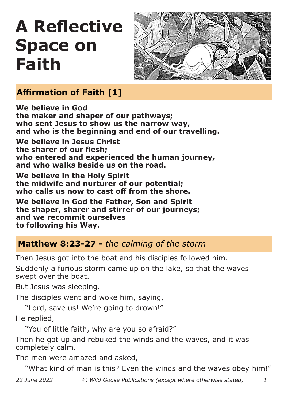# **A Reflective Space on Faith**



## **Affirmation of Faith [1]**

**We believe in God the maker and shaper of our pathways; who sent Jesus to show us the narrow way, and who is the beginning and end of our travelling.**

**We believe in Jesus Christ the sharer of our flesh; who entered and experienced the human journey, and who walks beside us on the road.**

**We believe in the Holy Spirit the midwife and nurturer of our potential; who calls us now to cast off from the shore.**

**We believe in God the Father, Son and Spirit the shaper, sharer and stirrer of our journeys; and we recommit ourselves to following his Way.**

## **Matthew 8:23-27 -** *the calming of the storm*

Then Jesus got into the boat and his disciples followed him. Suddenly a furious storm came up on the lake, so that the waves swept over the boat.

But Jesus was sleeping.

The disciples went and woke him, saying,

"Lord, save us! We're going to drown!"

He replied,

"You of little faith, why are you so afraid?"

Then he got up and rebuked the winds and the waves, and it was completely calm.

The men were amazed and asked,

"What kind of man is this? Even the winds and the waves obey him!"

*22 June 2022 © Wild Goose Publications (except where otherwise stated) 1*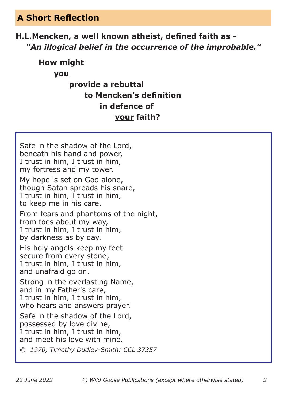#### **H.L.Mencken, a well known atheist, defined faith as -** *"An illogical belief in the occurrence of the improbable."*

**How might**

**you**

**provide a rebuttal to Mencken's definition in defence of your faith?**

| Safe in the shadow of the Lord,<br>beneath his hand and power,<br>I trust in him, I trust in him,<br>my fortress and my tower.  |  |
|---------------------------------------------------------------------------------------------------------------------------------|--|
| My hope is set on God alone,<br>though Satan spreads his snare,<br>I trust in him, I trust in him,<br>to keep me in his care.   |  |
| From fears and phantoms of the night,<br>from foes about my way,<br>I trust in him, I trust in him,<br>by darkness as by day.   |  |
| His holy angels keep my feet<br>secure from every stone;<br>I trust in him, I trust in him,<br>and unafraid go on.              |  |
| Strong in the everlasting Name,<br>and in my Father's care,<br>I trust in him, I trust in him,<br>who hears and answers prayer. |  |
| Safe in the shadow of the Lord,<br>possessed by love divine,<br>I trust in him, I trust in him,<br>and meet his love with mine. |  |
| © 1970, Timothy Dudley-Smith: CCL 37357                                                                                         |  |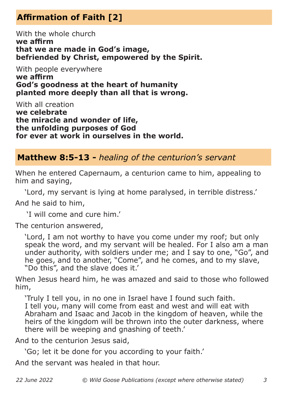## **Affirmation of Faith [2]**

With the whole church **we affirm that we are made in God's image, befriended by Christ, empowered by the Spirit.**

With people everywhere **we affirm God's goodness at the heart of humanity planted more deeply than all that is wrong.**

With all creation **we celebrate the miracle and wonder of life, the unfolding purposes of God for ever at work in ourselves in the world.**

#### **Matthew 8:5-13 -** *healing of the centurion's servant*

When he entered Capernaum, a centurion came to him, appealing to him and saying,

'Lord, my servant is lying at home paralysed, in terrible distress.'

And he said to him,

'I will come and cure him.'

The centurion answered,

'Lord, I am not worthy to have you come under my roof; but only speak the word, and my servant will be healed. For I also am a man under authority, with soldiers under me; and I say to one, "Go", and he goes, and to another, "Come", and he comes, and to my slave, "Do this", and the slave does it.'

When Jesus heard him, he was amazed and said to those who followed him,

'Truly I tell you, in no one in Israel have I found such faith. I tell you, many will come from east and west and will eat with Abraham and Isaac and Jacob in the kingdom of heaven, while the heirs of the kingdom will be thrown into the outer darkness, where there will be weeping and gnashing of teeth.'

And to the centurion Jesus said,

'Go; let it be done for you according to your faith.'

And the servant was healed in that hour.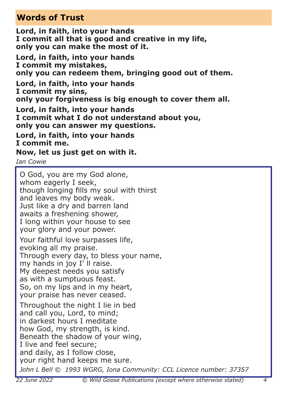## **Words of Trust**

**Lord, in faith, into your hands I commit all that is good and creative in my life, only you can make the most of it.**

**Lord, in faith, into your hands I commit my mistakes, only you can redeem them, bringing good out of them. Lord, in faith, into your hands I commit my sins, only your forgiveness is big enough to cover them all. Lord, in faith, into your hands I commit what I do not understand about you, only you can answer my questions. Lord, in faith, into your hands I commit me. Now, let us just get on with it.**

*Ian Cowie*

O God, you are my God alone, whom eagerly I seek, though longing fills my soul with thirst and leaves my body weak. Just like a dry and barren land awaits a freshening shower, I long within your house to see your glory and your power. Your faithful love surpasses life, evoking all my praise. Through every day, to bless your name, my hands in joy I' ll raise. My deepest needs you satisfy as with a sumptuous feast. So, on my lips and in my heart, your praise has never ceased. Throughout the night I lie in bed and call you, Lord, to mind; in darkest hours I meditate how God, my strength, is kind. Beneath the shadow of your wing, I live and feel secure; and daily, as I follow close, your right hand keeps me sure. *John L Bell © 1993 WGRG, Iona Community: CCL Licence number: 37357*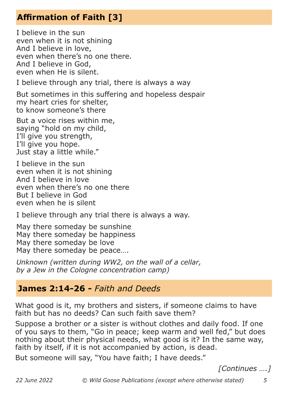## **Affirmation of Faith [3]**

I believe in the sun even when it is not shining And I believe in love, even when there's no one there. And I believe in God, even when He is silent.

I believe through any trial, there is always a way

But sometimes in this suffering and hopeless despair my heart cries for shelter, to know someone's there

But a voice rises within me, saying "hold on my child, I'll give you strength, I'll give you hope. Just stay a little while."

I believe in the sun even when it is not shining And I believe in love even when there's no one there But I believe in God even when he is silent

I believe through any trial there is always a way.

May there someday be sunshine May there someday be happiness May there someday be love May there someday be peace….

*Unknown (written during WW2, on the wall of a cellar, by a Jew in the Cologne concentration camp)*

#### **James 2:14-26 -** *Faith and Deeds*

What good is it, my brothers and sisters, if someone claims to have faith but has no deeds? Can such faith save them?

Suppose a brother or a sister is without clothes and daily food. If one of you says to them, "Go in peace; keep warm and well fed," but does nothing about their physical needs, what good is it? In the same way, faith by itself, if it is not accompanied by action, is dead.

But someone will say, "You have faith; I have deeds."

*[Continues ….]*

5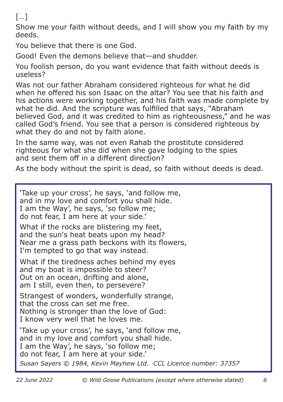[…]

Show me your faith without deeds, and I will show you my faith by my deeds.

You believe that there is one God.

Good! Even the demons believe that—and shudder.

You foolish person, do you want evidence that faith without deeds is useless?

Was not our father Abraham considered righteous for what he did when he offered his son Isaac on the altar? You see that his faith and his actions were working together, and his faith was made complete by what he did. And the scripture was fulfilled that says, "Abraham believed God, and it was credited to him as righteousness," and he was called God's friend. You see that a person is considered righteous by what they do and not by faith alone.

In the same way, was not even Rahab the prostitute considered righteous for what she did when she gave lodging to the spies and sent them off in a different direction?

As the body without the spirit is dead, so faith without deeds is dead.

'Take up your cross', he says, 'and follow me, and in my love and comfort you shall hide. I am the Way', he says, 'so follow me; do not fear, I am here at your side.' What if the rocks are blistering my feet. and the sun's heat beats upon my head? Near me a grass path beckons with its flowers, I'm tempted to go that way instead. What if the tiredness aches behind my eyes and my boat is impossible to steer? Out on an ocean, drifting and alone, am I still, even then, to persevere? Strangest of wonders, wonderfully strange, that the cross can set me free. Nothing is stronger than the love of God: I know very well that he loves me. 'Take up your cross', he says, 'and follow me, and in my love and comfort you shall hide. I am the Way', he says, 'so follow me; do not fear, I am here at your side.' *Susan Sayers © 1984, Kevin Mayhew Ltd. CCL Licence number: 37357*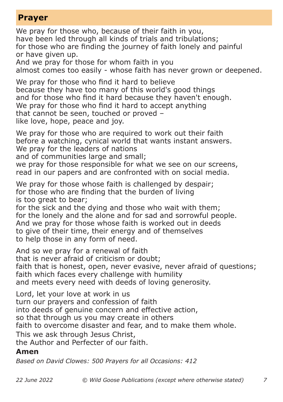#### **Prayer**

We pray for those who, because of their faith in you, have been led through all kinds of trials and tribulations; for those who are finding the journey of faith lonely and painful or have given up.

And we pray for those for whom faith in you almost comes too easily - whose faith has never grown or deepened.

We pray for those who find it hard to believe because they have too many of this world's good things and for those who find it hard because they haven't enough. We pray for those who find it hard to accept anything that cannot be seen, touched or proved – like love, hope, peace and joy.

We pray for those who are required to work out their faith before a watching, cynical world that wants instant answers. We pray for the leaders of nations

and of communities large and small;

we pray for those responsible for what we see on our screens, read in our papers and are confronted with on social media.

We pray for those whose faith is challenged by despair; for those who are finding that the burden of living is too great to bear;

for the sick and the dying and those who wait with them; for the lonely and the alone and for sad and sorrowful people. And we pray for those whose faith is worked out in deeds to give of their time, their energy and of themselves to help those in any form of need.

And so we pray for a renewal of faith that is never afraid of criticism or doubt; faith that is honest, open, never evasive, never afraid of questions; faith which faces every challenge with humility and meets every need with deeds of loving generosity.

Lord, let your love at work in us turn our prayers and confession of faith into deeds of genuine concern and effective action, so that through us you may create in others faith to overcome disaster and fear, and to make them whole. This we ask through Jesus Christ, the Author and Perfecter of our faith.

#### **Amen**

*Based on David Clowes: 500 Prayers for all Occasions: 412*